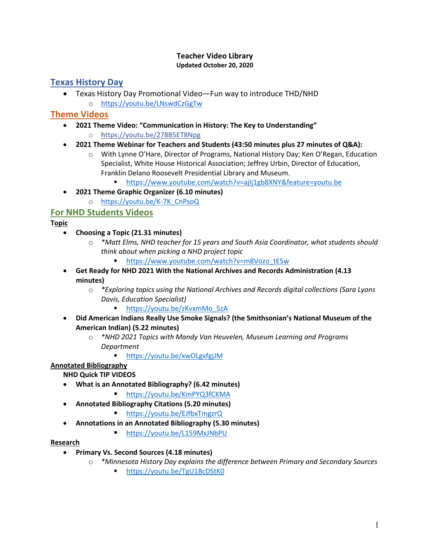#### **Teacher Video Library Updated October 20, 2020**

# **Texas History Day**

• Texas History Day Promotional Video—Fun way to introduce THD/NHD o https://youtu.be/LNswdCzGgTw

# **Theme Videos**

- **2021 Theme Video: "Communication in History: The Key to Understanding"**
	- o https://youtu.be/278B5ET8Npg
- **2021 Theme Webinar for Teachers and Students (43:50 minutes plus 27 minutes of Q&A):** 
	- o With Lynne O'Hare, Director of Programs, National History Day; Ken O'Regan, Education Specialist, White House Historical Association; Jeffrey Urbin, Director of Education, Franklin Delano Roosevelt Presidential Library and Museum.
		- § https://www.youtube.com/watch?v=ajIj1gb8XNY&feature=youtu.be
- **2021 Theme Graphic Organizer (6.10 minutes)**
	- o https://youtu.be/K-7K\_CnPsoQ

# **For NHD Students Videos**

- **Topic**
	- **Choosing a Topic (21.31 minutes)**
		- o *\*Matt Elms, NHD teacher for 15 years and South Asia Coordinator, what students should think about when picking a NHD project topic*
			- § https://www.youtube.com/watch?v=m8Vozo\_tE5w
	- **Get Ready for NHD 2021 With the National Archives and Records Administration (4.13 minutes)**
		- o *\*Exploring topics using the National Archives and Records digital collections (Sara Lyons Davis, Education Specialist)*
			- § https://youtu.be/zKvxmMo\_5zA
	- **Did American Indians Really Use Smoke Signals? (the Smithsonian's National Museum of the American Indian) (5.22 minutes)**
		- o *\*NHD 2021 Topics with Mandy Van Heuvelen, Museum Learning and Programs Department*
			- https://youtu.be/xwOLgxfgjJM

## **Annotated Bibliography**

**NHD Quick TIP VIDEOS**

- **What is an Annotated Bibliography? (6.42 minutes)**
	- https://voutu.be/KmPYQ3fCKMA
- **Annotated Bibliography Citations (5.20 minutes)**
	- § https://youtu.be/EJfbxTmgzrQ
- **Annotations in an Annotated Bibliography (5.30 minutes)**
	- § https://youtu.be/L159MxJNbPU

### **Research**

- **Primary Vs. Second Sources (4.18 minutes)**
	- o *\*Minnesota History Day explains the difference between Primary and Secondary Sources*
		- https://youtu.be/TgU1BcDStK0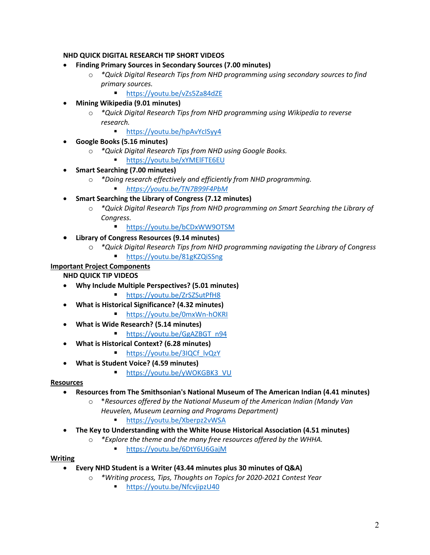### **NHD QUICK DIGITAL RESEARCH TIP SHORT VIDEOS**

- **Finding Primary Sources in Secondary Sources (7.00 minutes)**
	- o *\*Quick Digital Research Tips from NHD programming using secondary sources to find primary sources.*
		- https://youtu.be/vZs5Za84dZE
- **Mining Wikipedia (9.01 minutes)**
	- o *\*Quick Digital Research Tips from NHD programming using Wikipedia to reverse research.*
		- https://youtu.be/hpAvYclSyy4
- **Google Books (5.16 minutes)**
	- o *\*Quick Digital Research Tips from NHD using Google Books.*
		- § https://youtu.be/xYMElFTE6EU
- **Smart Searching (7.00 minutes)**
	- o *\*Doing research effectively and efficiently from NHD programming.*
		- § *https://youtu.be/TN7B99F4PbM*
- **Smart Searching the Library of Congress (7.12 minutes)**
	- o *\*Quick Digital Research Tips from NHD programming on Smart Searching the Library of Congress.*
		- https://youtu.be/bCDxWW9OTSM
- **Library of Congress Resources (9.14 minutes)**
	- o *\*Quick Digital Research Tips from NHD programming navigating the Library of Congress* 
		- § https://youtu.be/81gKZQiSSng

#### **Important Project Components**

**NHD QUICK TIP VIDEOS**

- **Why Include Multiple Perspectives? (5.01 minutes)**
	- § https://youtu.be/ZrSZSutPfH8
- **What is Historical Significance? (4.32 minutes)**
	- § https://youtu.be/0mxWn-hOKRI
- **What is Wide Research? (5.14 minutes)**
	- https://youtu.be/GgAZBGT\_n94
- **What is Historical Context? (6.28 minutes)**
	- https://youtu.be/3IQCf\_lvQzY
- **What is Student Voice? (4.59 minutes)**
	- § https://youtu.be/yWOKGBK3\_VU

#### **Resources**

- **Resources from The Smithsonian's National Museum of The American Indian (4.41 minutes)**
	- o \**Resources offered by the National Museum of the American Indian (Mandy Van Heuvelen, Museum Learning and Programs Department)*
		- § https://youtu.be/Xberpz2vWSA
- **The Key to Understanding with the White House Historical Association (4.51 minutes)**
	- o *\*Explore the theme and the many free resources offered by the WHHA.*
		- § https://youtu.be/6DtY6U6GajM

#### **Writing**

- **Every NHD Student is a Writer (43.44 minutes plus 30 minutes of Q&A)**
	- o *\*Writing process, Tips, Thoughts on Topics for 2020-2021 Contest Year*
		- § https://youtu.be/NfcvjipzU40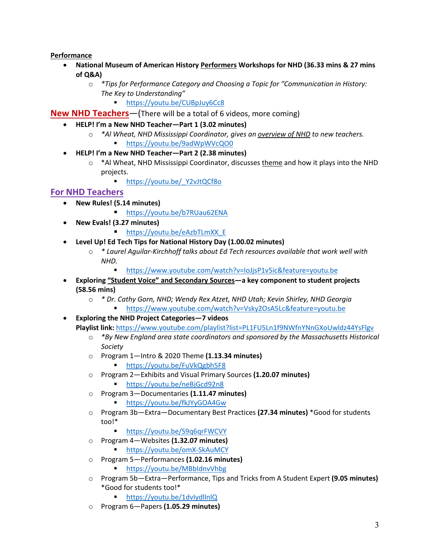### **Performance**

- **National Museum of American History Performers Workshops for NHD (36.33 mins & 27 mins of Q&A)**
	- o *\*Tips for Performance Category and Choosing a Topic for "Communication in History: The Key to Understanding"*
		- § https://youtu.be/CUBpJuy6Cc8

**New NHD Teachers**—(There will be a total of 6 videos, more coming)

- **HELP! I'm a New NHD Teacher—Part 1 (3.02 minutes)**
	- o *\*Al Wheat, NHD Mississippi Coordinator, gives an overview of NHD to new teachers.* § https://youtu.be/9adWpWVcQO0
- **HELP! I'm a New NHD Teacher—Part 2 (2.38 minutes)**
	- $\circ$  \*Al Wheat, NHD Mississippi Coordinator, discusses theme and how it plays into the NHD projects.

■ https://youtu.be/ Y2vJtQCf8o

## **For NHD Teachers**

- **New Rules! (5.14 minutes)**
	- https://youtu.be/b7RUau62ENA
- **New Evals! (3.27 minutes)**
	- https://youtu.be/eAzbTLmXX\_E
- **Level Up! Ed Tech Tips for National History Day (1.00.02 minutes)**
	- o *\* Laurel Aguilar-Kirchhoff talks about Ed Tech resources available that work well with NHD.*
		- § https://www.youtube.com/watch?v=IoJjsP1v5ic&feature=youtu.be
- **Exploring "Student Voice" and Secondary Sources—a key component to student projects (58.56 mins)**
	- o *\* Dr. Cathy Gorn, NHD; Wendy Rex Atzet, NHD Utah; Kevin Shirley, NHD Georgia* § https://www.youtube.com/watch?v=Vsky2OsA5Lc&feature=youtu.be
- **Exploring the NHD Project Categories—7 videos Playlist link:** https://www.youtube.com/playlist?list=PL1FU5Ln1f9NWfnYNnGXoUwldz44YsFlgv
	- o *\*By New England area state coordinators and sponsored by the Massachusetts Historical Society*
	- o Program 1—Intro & 2020 Theme **(1.13.34 minutes)**
		- § https://youtu.be/FuVkQgbh5F8
	- o Program 2—Exhibits and Visual Primary Sources **(1.20.07 minutes)**
		- § https://youtu.be/neBjGcd92n8
	- o Program 3—Documentaries **(1.11.47 minutes)**
		- § https://youtu.be/fkJYyGOA4Gw
	- o Program 3b—Extra—Documentary Best Practices **(27.34 minutes)** \*Good for students too!\*
		- https://youtu.be/S9q6qrFWCVY
	- o Program 4—Websites **(1.32.07 minutes)**
		- https://youtu.be/omX-SkAuMCY
	- o Program 5—Performances **(1.02.16 minutes)**
		- § https://youtu.be/MBbIdnvVhbg
	- o Program 5b—Extra—Performance, Tips and Tricks from A Student Expert **(9.05 minutes)** \*Good for students too!\*
		- § https://youtu.be/1dvIydllnlQ
	- o Program 6—Papers **(1.05.29 minutes)**